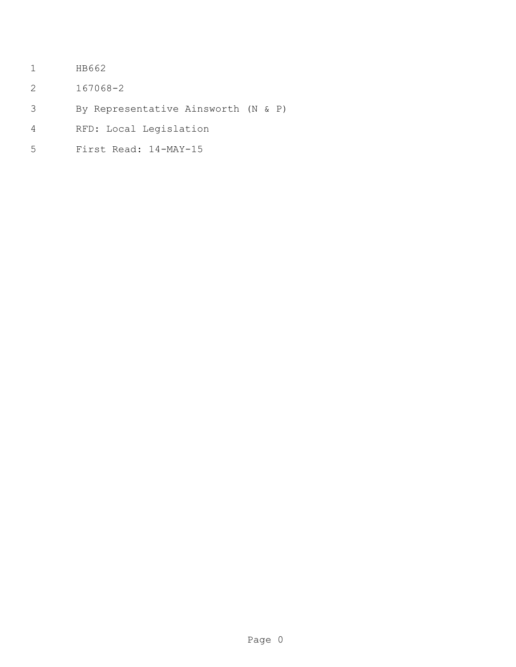- HB662
- 167068-2
- By Representative Ainsworth (N & P)
- RFD: Local Legislation
- First Read: 14-MAY-15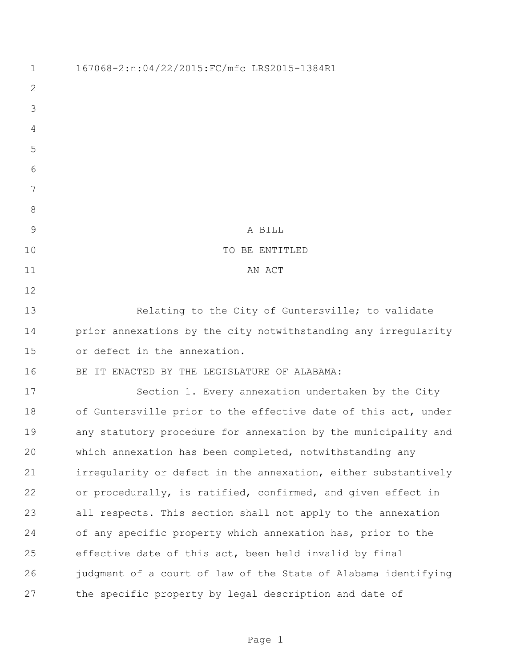| $\mathbf 1$  | 167068-2:n:04/22/2015:FC/mfc LRS2015-1384R1                    |
|--------------|----------------------------------------------------------------|
| 2            |                                                                |
| 3            |                                                                |
| 4            |                                                                |
| 5            |                                                                |
| 6            |                                                                |
| 7            |                                                                |
| 8            |                                                                |
| $\mathsf{9}$ | A BILL                                                         |
| 10           | TO BE ENTITLED                                                 |
| 11           | AN ACT                                                         |
| 12           |                                                                |
| 13           | Relating to the City of Guntersville; to validate              |
| 14           | prior annexations by the city notwithstanding any irregularity |
| 15           | or defect in the annexation.                                   |
| 16           | BE IT ENACTED BY THE LEGISLATURE OF ALABAMA:                   |
| 17           | Section 1. Every annexation undertaken by the City             |
| 18           | of Guntersville prior to the effective date of this act, under |
| 19           | any statutory procedure for annexation by the municipality and |
| 20           | which annexation has been completed, notwithstanding any       |
| 21           | irregularity or defect in the annexation, either substantively |
| 22           | or procedurally, is ratified, confirmed, and given effect in   |
| 23           | all respects. This section shall not apply to the annexation   |
| 24           | of any specific property which annexation has, prior to the    |
| 25           | effective date of this act, been held invalid by final         |
| 26           | judgment of a court of law of the State of Alabama identifying |
| 27           | the specific property by legal description and date of         |

Page 1